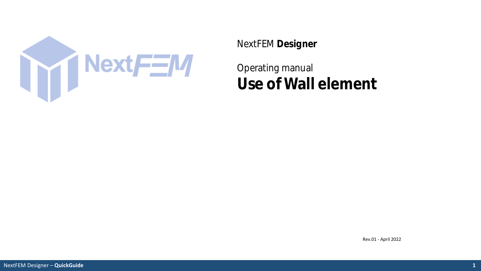

NextFEM **Designer**

Operating manual **Use of Wall element**

Rev.01 - April 2022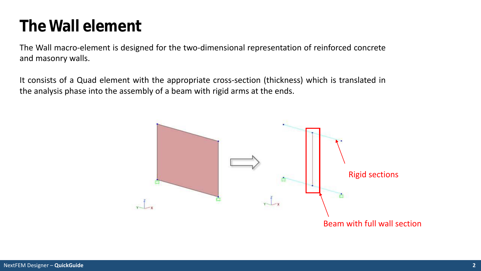## **The Wall element**

The Wall macro-element is designed for the two-dimensional representation of reinforced concrete and masonry walls.

It consists of a Quad element with the appropriate cross-section (thickness) which is translated in the analysis phase into the assembly of a beam with rigid arms at the ends.

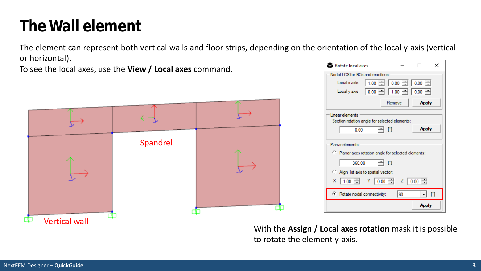# **The Wall element**

The element can represent both vertical walls and floor strips, depending on the orientation of the local y-axis (vertical or horizontal).

To see the local axes, use the **View / Local axes** command.



| Rotate local axes                                                              |        |              | × |
|--------------------------------------------------------------------------------|--------|--------------|---|
| Nodal LCS for BCs and reactions                                                |        |              |   |
| 1.00 $\pm$   0.00 $\pm$   0.00 $\pm$<br>Local x axis                           |        |              |   |
| $0.00$ $\rightarrow$ $1.00$ $\rightarrow$ $0.00$ $\rightarrow$<br>Local y axis |        |              |   |
|                                                                                | Remove | <b>Apply</b> |   |
| Linear elements                                                                |        |              |   |
| Section rotation angle for selected elements:                                  |        |              |   |
| Ηm<br>0.00                                                                     |        | <b>Apply</b> |   |
| Planar elements                                                                |        |              |   |
| C Planar axes rotation angle for selected elements:                            |        |              |   |
| - M<br>360.00                                                                  |        |              |   |
| Align 1st axis to spatial vector:                                              |        |              |   |
| × 1.00 극 Y 0.00 극 Z 0.00 극                                                     |        |              |   |
| Rotate nodal connectivity:                                                     | 90     |              | n |
|                                                                                |        | <b>Apply</b> |   |

With the **Assign / Local axes rotation** mask it is possible to rotate the element y-axis.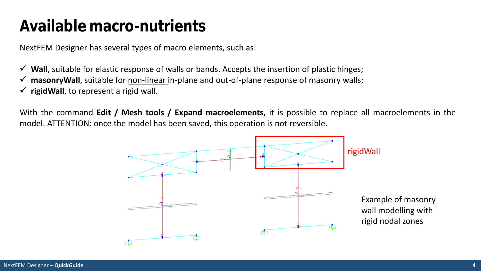### **Available macro-nutrients**

NextFEM Designer has several types of macro elements, such as:

**Wall**, suitable for elastic response of walls or bands. Accepts the insertion of plastic hinges;

- **∕ masonryWall**, suitable for non-linear in-plane and out-of-plane response of masonry walls;
- $\checkmark$  rigidWall, to represent a rigid wall.

With the command **Edit / Mesh tools / Expand macroelements,** it is possible to replace all macroelements in the model. ATTENTION: once the model has been saved, this operation is not reversible.

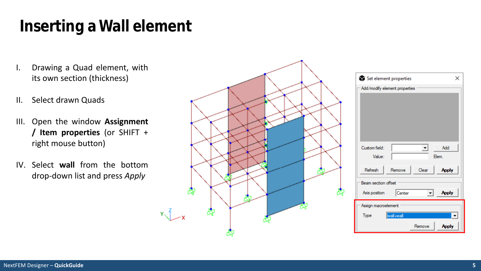# **Inserting a Wall element**

- I. Drawing a Quad element, with its own section (thickness)
- II. Select drawn Quads
- III. Open the window **Assignment / Item properties** (or SHIFT + right mouse button)
- IV. Select **wall** from the bottom drop-down list and press *Apply*

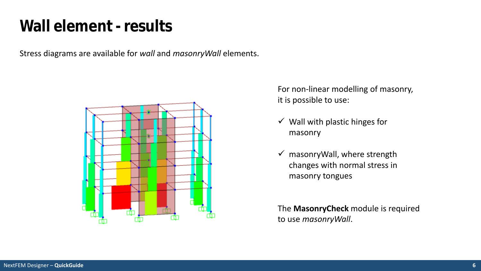### **Wall element - results**

Stress diagrams are available for *wall* and *masonryWall* elements.



For non-linear modelling of masonry, it is possible to use:

- $\checkmark$  Wall with plastic hinges for masonry
- $\checkmark$  masonryWall, where strength changes with normal stress in masonry tongues

The **MasonryCheck** module is required to use *masonryWall*.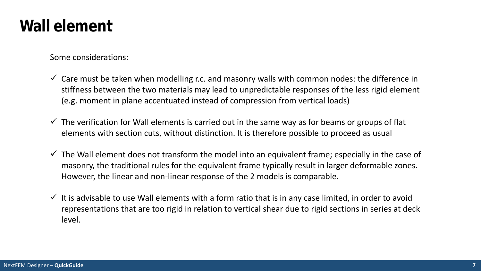#### **Wall element**

Some considerations:

- $\checkmark$  Care must be taken when modelling r.c. and masonry walls with common nodes: the difference in stiffness between the two materials may lead to unpredictable responses of the less rigid element (e.g. moment in plane accentuated instead of compression from vertical loads)
- $\checkmark$  The verification for Wall elements is carried out in the same way as for beams or groups of flat elements with section cuts, without distinction. It is therefore possible to proceed as usual
- $\checkmark$  The Wall element does not transform the model into an equivalent frame; especially in the case of masonry, the traditional rules for the equivalent frame typically result in larger deformable zones. However, the linear and non-linear response of the 2 models is comparable.
- $\checkmark$  It is advisable to use Wall elements with a form ratio that is in any case limited, in order to avoid representations that are too rigid in relation to vertical shear due to rigid sections in series at deck level.